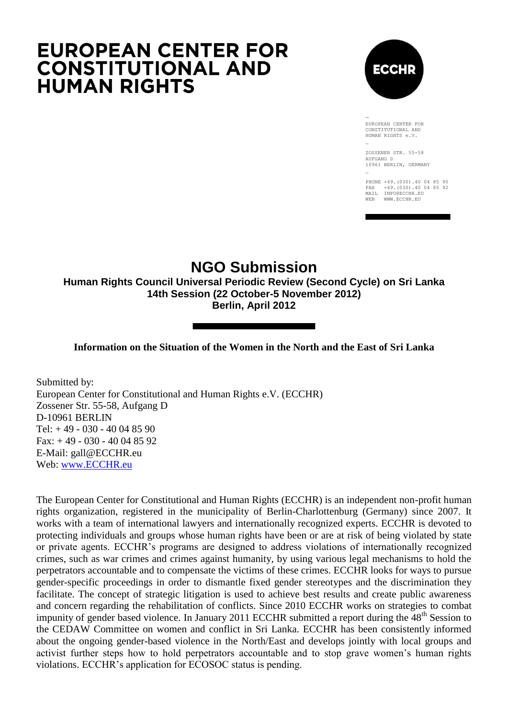

EUROPEAN CENTER FOR CONSTITUTIONAL AND HUMAN RIGHTS e.V.

ZOSSENER STR. 55-58 AUFGANG D 10961 BERLIN, GERMANY

PHONE +49.(030).40 04 85 90 FAX +49.(030).40 04 85 92 MAIL INFO@ECCHR.EU WEB WWW.ECCHR.EU

## **NGO Submission**

**Human Rights Council Universal Periodic Review (Second Cycle) on Sri Lanka 14th Session (22 October-5 November 2012) Berlin, April 2012**

## **Information on the Situation of the Women in the North and the East of Sri Lanka**

Submitted by: European Center for Constitutional and Human Rights e.V. (ECCHR) Zossener Str. 55-58, Aufgang D D-10961 BERLIN Tel: + 49 - 030 - 40 04 85 90 Fax: + 49 - 030 - 40 04 85 92 E-Mail: gall@ECCHR.eu Web: [www.ECCHR.eu](http://www.ecchr.eu/)

The European Center for Constitutional and Human Rights (ECCHR) is an independent non-profit human rights organization, registered in the municipality of Berlin-Charlottenburg (Germany) since 2007. It works with a team of international lawyers and internationally recognized experts. ECCHR is devoted to protecting individuals and groups whose human rights have been or are at risk of being violated by state or private agents. ECCHR"s programs are designed to address violations of internationally recognized crimes, such as war crimes and crimes against humanity, by using various legal mechanisms to hold the perpetrators accountable and to compensate the victims of these crimes. ECCHR looks for ways to pursue gender-specific proceedings in order to dismantle fixed gender stereotypes and the discrimination they facilitate. The concept of strategic litigation is used to achieve best results and create public awareness and concern regarding the rehabilitation of conflicts. Since 2010 ECCHR works on strategies to combat impunity of gender based violence. In January 2011 ECCHR submitted a report during the 48<sup>th</sup> Session to the CEDAW Committee on women and conflict in Sri Lanka. ECCHR has been consistently informed about the ongoing gender-based violence in the North/East and develops jointly with local groups and activist further steps how to hold perpetrators accountable and to stop grave women's human rights violations. ECCHR"s application for ECOSOC status is pending.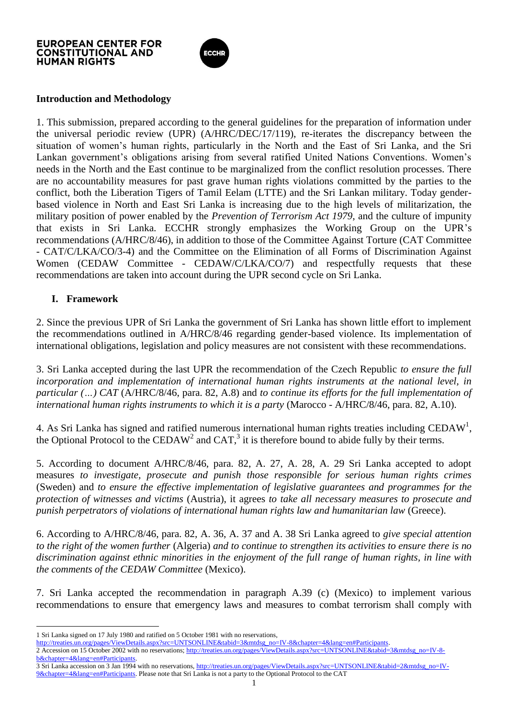

## **Introduction and Methodology**

1. This submission, prepared according to the general guidelines for the preparation of information under the universal periodic review (UPR) (A/HRC/DEC/17/119), re-iterates the discrepancy between the situation of women"s human rights, particularly in the North and the East of Sri Lanka, and the Sri Lankan government's obligations arising from several ratified United Nations Conventions. Women's needs in the North and the East continue to be marginalized from the conflict resolution processes. There are no accountability measures for past grave human rights violations committed by the parties to the conflict, both the Liberation Tigers of Tamil Eelam (LTTE) and the Sri Lankan military. Today genderbased violence in North and East Sri Lanka is increasing due to the high levels of militarization, the military position of power enabled by the *Prevention of Terrorism Act 1979*, and the culture of impunity that exists in Sri Lanka. ECCHR strongly emphasizes the Working Group on the UPR"s recommendations (A/HRC/8/46), in addition to those of the Committee Against Torture (CAT Committee - CAT/C/LKA/CO/3-4) and the Committee on the Elimination of all Forms of Discrimination Against Women (CEDAW Committee - CEDAW/C/LKA/CO/7) and respectfully requests that these recommendations are taken into account during the UPR second cycle on Sri Lanka.

## **I. Framework**

 $\overline{a}$ 

2. Since the previous UPR of Sri Lanka the government of Sri Lanka has shown little effort to implement the recommendations outlined in A/HRC/8/46 regarding gender-based violence. Its implementation of international obligations, legislation and policy measures are not consistent with these recommendations.

3. Sri Lanka accepted during the last UPR the recommendation of the Czech Republic *to ensure the full incorporation and implementation of international human rights instruments at the national level, in particular (…) CAT* (A/HRC/8/46, para. 82, A.8) and *to continue its efforts for the full implementation of international human rights instruments to which it is a party* (Marocco - A/HRC/8/46, para. 82, A.10).

4. As Sri Lanka has signed and ratified numerous international human rights treaties including CEDAW<sup>1</sup>, the Optional Protocol to the CEDAW<sup>2</sup> and CAT,<sup>3</sup> it is therefore bound to abide fully by their terms.

5. According to document A/HRC/8/46, para. 82, A. 27, A. 28, A. 29 Sri Lanka accepted to adopt measures *to investigate, prosecute and punish those responsible for serious human rights crimes* (Sweden) and *to ensure the effective implementation of legislative guarantees and programmes for the protection of witnesses and victims* (Austria), it agrees *to take all necessary measures to prosecute and punish perpetrators of violations of international human rights law and humanitarian law* (Greece).

6. According to A/HRC/8/46, para. 82, A. 36, A. 37 and A. 38 Sri Lanka agreed to *give special attention to the right of the women further* (Algeria) *and to continue to strengthen its activities to ensure there is no discrimination against ethnic minorities in the enjoyment of the full range of human rights, in line with the comments of the CEDAW Committee* (Mexico).

7. Sri Lanka accepted the recommendation in paragraph A.39 (c) (Mexico) to implement various recommendations to ensure that emergency laws and measures to combat terrorism shall comply with

<sup>1</sup> Sri Lanka signed on 17 July 1980 and ratified on 5 October 1981 with no reservations,

[http://treaties.un.org/pages/ViewDetails.aspx?src=UNTSONLINE&tabid=3&mtdsg\\_no=IV-8&chapter=4&lang=en#Participants.](http://treaties.un.org/pages/ViewDetails.aspx?src=UNTSONLINE&tabid=3&mtdsg_no=IV-8&chapter=4&lang=en#Participants) 2 Accession on 15 October 2002 with no reservations[; http://treaties.un.org/pages/ViewDetails.aspx?src=UNTSONLINE&tabid=3&mtdsg\\_no=IV-8](http://treaties.un.org/pages/ViewDetails.aspx?src=UNTSONLINE&tabid=3&mtdsg_no=IV-8-b&chapter=4&lang=en#Participants) [b&chapter=4&lang=en#Participants.](http://treaties.un.org/pages/ViewDetails.aspx?src=UNTSONLINE&tabid=3&mtdsg_no=IV-8-b&chapter=4&lang=en#Participants)

<sup>3</sup> Sri Lanka accession on 3 Jan 1994 with no reservations[, http://treaties.un.org/pages/ViewDetails.aspx?src=UNTSONLINE&tabid=2&mtdsg\\_no=IV-](http://treaties.un.org/pages/ViewDetails.aspx?src=UNTSONLINE&tabid=2&mtdsg_no=IV-9&chapter=4&lang=en#Participants)[9&chapter=4&lang=en#Participants.](http://treaties.un.org/pages/ViewDetails.aspx?src=UNTSONLINE&tabid=2&mtdsg_no=IV-9&chapter=4&lang=en#Participants) Please note that Sri Lanka is not a party to the Optional Protocol to the CAT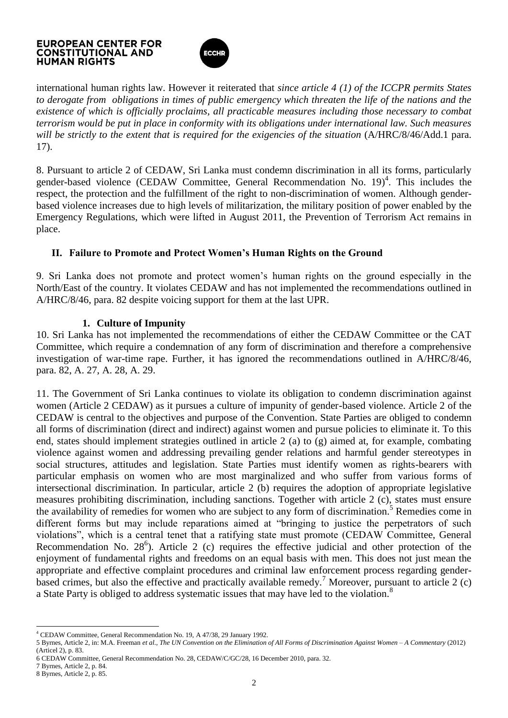

international human rights law. However it reiterated that *since article 4 (1) of the ICCPR permits States to derogate from obligations in times of public emergency which threaten the life of the nations and the existence of which is officially proclaims, all practicable measures including those necessary to combat terrorism would be put in place in conformity with its obligations under international law. Such measures will be strictly to the extent that is required for the exigencies of the situation* (A/HRC/8/46/Add.1 para. 17).

8. Pursuant to article 2 of CEDAW, Sri Lanka must condemn discrimination in all its forms, particularly gender-based violence (CEDAW Committee, General Recommendation No. 19)<sup>4</sup>. This includes the respect, the protection and the fulfillment of the right to non-discrimination of women. Although genderbased violence increases due to high levels of militarization, the military position of power enabled by the Emergency Regulations, which were lifted in August 2011, the Prevention of Terrorism Act remains in place.

## **II. Failure to Promote and Protect Women's Human Rights on the Ground**

9. Sri Lanka does not promote and protect women"s human rights on the ground especially in the North/East of the country. It violates CEDAW and has not implemented the recommendations outlined in A/HRC/8/46, para. 82 despite voicing support for them at the last UPR.

## **1. Culture of Impunity**

10. Sri Lanka has not implemented the recommendations of either the CEDAW Committee or the CAT Committee, which require a condemnation of any form of discrimination and therefore a comprehensive investigation of war-time rape. Further, it has ignored the recommendations outlined in A/HRC/8/46, para. 82, A. 27, A. 28, A. 29.

11. The Government of Sri Lanka continues to violate its obligation to condemn discrimination against women (Article 2 CEDAW) as it pursues a culture of impunity of gender-based violence. Article 2 of the CEDAW is central to the objectives and purpose of the Convention. State Parties are obliged to condemn all forms of discrimination (direct and indirect) against women and pursue policies to eliminate it. To this end, states should implement strategies outlined in article 2 (a) to (g) aimed at, for example, combating violence against women and addressing prevailing gender relations and harmful gender stereotypes in social structures, attitudes and legislation. State Parties must identify women as rights-bearers with particular emphasis on women who are most marginalized and who suffer from various forms of intersectional discrimination. In particular, article 2 (b) requires the adoption of appropriate legislative measures prohibiting discrimination, including sanctions. Together with article 2 (c), states must ensure the availability of remedies for women who are subject to any form of discrimination.<sup>5</sup> Remedies come in different forms but may include reparations aimed at "bringing to justice the perpetrators of such violations", which is a central tenet that a ratifying state must promote (CEDAW Committee, General Recommendation No.  $28^6$ ). Article 2 (c) requires the effective judicial and other protection of the enjoyment of fundamental rights and freedoms on an equal basis with men. This does not just mean the appropriate and effective complaint procedures and criminal law enforcement process regarding genderbased crimes, but also the effective and practically available remedy.<sup>7</sup> Moreover, pursuant to article 2 (c) a State Party is obliged to address systematic issues that may have led to the violation.<sup>8</sup>

 $\overline{a}$ <sup>4</sup> CEDAW Committee, General Recommendation No. 19, A 47/38, 29 January 1992.

<sup>5</sup> Byrnes, Article 2, in: M.A. Freeman *et al*., *The UN Convention on the Elimination of All Forms of Discrimination Against Women – A Commentary* (2012) (Articel 2), p. 83.

<sup>6</sup> CEDAW Committee, General Recommendation No. 28, CEDAW/C/GC/28, 16 December 2010, para. 32.

<sup>7</sup> Byrnes, Article 2, p. 84.

<sup>8</sup> Byrnes, Article 2, p. 85.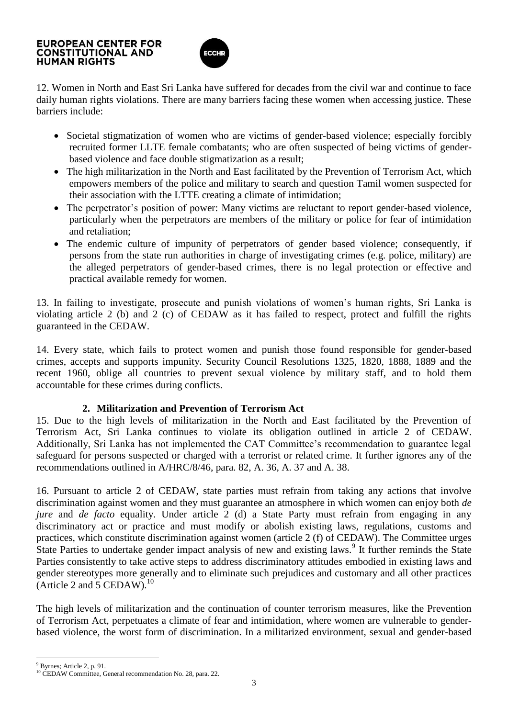

12. Women in North and East Sri Lanka have suffered for decades from the civil war and continue to face daily human rights violations. There are many barriers facing these women when accessing justice. These barriers include:

- Societal stigmatization of women who are victims of gender-based violence; especially forcibly recruited former LLTE female combatants; who are often suspected of being victims of genderbased violence and face double stigmatization as a result;
- The high militarization in the North and East facilitated by the Prevention of Terrorism Act, which empowers members of the police and military to search and question Tamil women suspected for their association with the LTTE creating a climate of intimidation;
- The perpetrator's position of power: Many victims are reluctant to report gender-based violence, particularly when the perpetrators are members of the military or police for fear of intimidation and retaliation;
- The endemic culture of impunity of perpetrators of gender based violence; consequently, if persons from the state run authorities in charge of investigating crimes (e.g. police, military) are the alleged perpetrators of gender-based crimes, there is no legal protection or effective and practical available remedy for women.

13. In failing to investigate, prosecute and punish violations of women"s human rights, Sri Lanka is violating article 2 (b) and 2 (c) of CEDAW as it has failed to respect, protect and fulfill the rights guaranteed in the CEDAW.

14. Every state, which fails to protect women and punish those found responsible for gender-based crimes, accepts and supports impunity. Security Council Resolutions 1325, 1820, 1888, 1889 and the recent 1960, oblige all countries to prevent sexual violence by military staff, and to hold them accountable for these crimes during conflicts.

## **2. Militarization and Prevention of Terrorism Act**

15. Due to the high levels of militarization in the North and East facilitated by the Prevention of Terrorism Act, Sri Lanka continues to violate its obligation outlined in article 2 of CEDAW. Additionally, Sri Lanka has not implemented the CAT Committee's recommendation to guarantee legal safeguard for persons suspected or charged with a terrorist or related crime. It further ignores any of the recommendations outlined in A/HRC/8/46, para. 82, A. 36, A. 37 and A. 38.

16. Pursuant to article 2 of CEDAW, state parties must refrain from taking any actions that involve discrimination against women and they must guarantee an atmosphere in which women can enjoy both *de jure* and *de facto* equality. Under article 2 (d) a State Party must refrain from engaging in any discriminatory act or practice and must modify or abolish existing laws, regulations, customs and practices, which constitute discrimination against women (article 2 (f) of CEDAW). The Committee urges State Parties to undertake gender impact analysis of new and existing laws.<sup>9</sup> It further reminds the State Parties consistently to take active steps to address discriminatory attitudes embodied in existing laws and gender stereotypes more generally and to eliminate such prejudices and customary and all other practices (Article 2 and 5 CEDAW).<sup>10</sup>

The high levels of militarization and the continuation of counter terrorism measures, like the Prevention of Terrorism Act, perpetuates a climate of fear and intimidation, where women are vulnerable to genderbased violence, the worst form of discrimination. In a militarized environment, sexual and gender-based

l

<sup>9</sup> Byrnes; Article 2, p. 91.

<sup>&</sup>lt;sup>10</sup> CEDAW Committee, General recommendation No. 28, para. 22.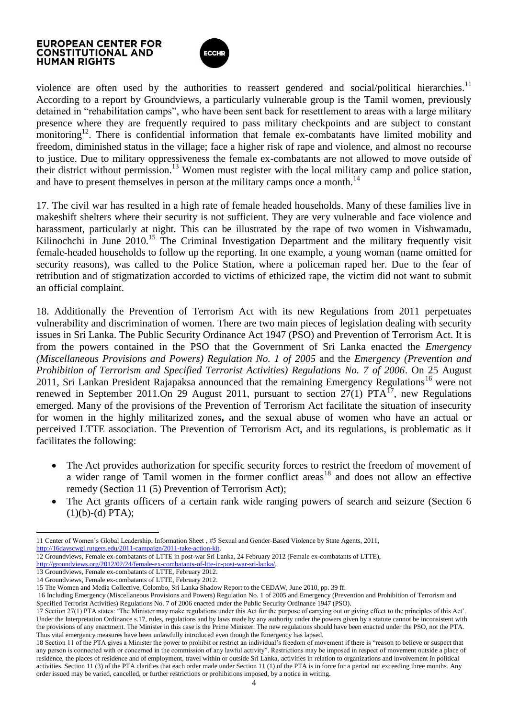

violence are often used by the authorities to reassert gendered and social/political hierarchies.<sup>11</sup> According to a report by Groundviews, a particularly vulnerable group is the Tamil women, previously detained in "rehabilitation camps", who have been sent back for resettlement to areas with a large military presence where they are frequently required to pass military checkpoints and are subject to constant monitoring<sup>12</sup>. There is confidential information that female ex-combatants have limited mobility and freedom, diminished status in the village; face a higher risk of rape and violence, and almost no recourse to justice. Due to military oppressiveness the female ex-combatants are not allowed to move outside of their district without permission.<sup>13</sup> Women must register with the local military camp and police station, and have to present themselves in person at the military camps once a month.<sup>14</sup>

17. The civil war has resulted in a high rate of female headed households. Many of these families live in makeshift shelters where their security is not sufficient. They are very vulnerable and face violence and harassment, particularly at night. This can be illustrated by the rape of two women in Vishwamadu, Kilinochchi in June  $2010$ <sup>15</sup>. The Criminal Investigation Department and the military frequently visit female-headed households to follow up the reporting. In one example, a young woman (name omitted for security reasons), was called to the Police Station, where a policeman raped her. Due to the fear of retribution and of stigmatization accorded to victims of ethicized rape, the victim did not want to submit an official complaint.

18. Additionally the Prevention of Terrorism Act with its new Regulations from 2011 perpetuates vulnerability and discrimination of women. There are two main pieces of legislation dealing with security issues in Sri Lanka. The Public Security Ordinance Act 1947 (PSO) and Prevention of Terrorism Act. It is from the powers contained in the PSO that the Government of Sri Lanka enacted the *Emergency (Miscellaneous Provisions and Powers) Regulation No. 1 of 2005* and the *Emergency (Prevention and Prohibition of Terrorism and Specified Terrorist Activities) Regulations No. 7 of 2006*. On 25 August 2011, Sri Lankan President Rajapaksa announced that the remaining Emergency Regulations<sup>16</sup> were not renewed in September 2011.On 29 August 2011, pursuant to section  $27(1)$  PTA<sup>17</sup>, new Regulations emerged. Many of the provisions of the Prevention of Terrorism Act facilitate the situation of insecurity for women in the highly militarized zones**,** and the sexual abuse of women who have an actual or perceived LTTE association. The Prevention of Terrorism Act, and its regulations, is problematic as it facilitates the following:

- The Act provides authorization for specific security forces to restrict the freedom of movement of a wider range of Tamil women in the former conflict areas<sup>18</sup> and does not allow an effective remedy (Section 11 (5) Prevention of Terrorism Act);
- The Act grants officers of a certain rank wide ranging powers of search and seizure (Section 6  $(1)(b)-(d) PTA);$

l 11 Center of Women's Global Leadership, Information Sheet, #5 Sexual and Gender-Based Violence by State Agents, 2011, [http://16dayscwgl.rutgers.edu/2011-campaign/2011-take-action-kit.](http://16dayscwgl.rutgers.edu/2011-campaign/2011-take-action-kit)

12 Groundviews, Female ex-combatants of LTTE in post-war Sri Lanka, 24 February 2012 (Female ex-combatants of LTTE),

[http://groundviews.org/2012/02/24/female-ex-combatants-of-ltte-in-post-war-sri-lanka/.](http://groundviews.org/2012/02/24/female-ex-combatants-of-ltte-in-post-war-sri-lanka/)

13 Groundviews, Female ex-combatants of LTTE, February 2012.

14 Groundviews, Female ex-combatants of LTTE, February 2012.

<sup>15</sup> The Women and Media Collective, Colombo, Sri Lanka Shadow Report to the CEDAW, June 2010, pp. 39 ff.

<sup>16</sup> Including Emergency (Miscellaneous Provisions and Powers) Regulation No. 1 of 2005 and Emergency (Prevention and Prohibition of Terrorism and Specified Terrorist Activities) Regulations No. 7 of 2006 enacted under the Public Security Ordinance 1947 (PSO).

<sup>17</sup> Section 27(1) PTA states: "The Minister may make regulations under this Act for the purpose of carrying out or giving effect to the principles of this Act". Under the Interpretation Ordinance s.17, rules, regulations and by laws made by any authority under the powers given by a statute cannot be inconsistent with the provisions of any enactment. The Minister in this case is the Prime Minister. The new regulations should have been enacted under the PSO, not the PTA. Thus vital emergency measures have been unlawfully introduced even though the Emergency has lapsed.

<sup>18</sup> Section 11 of the PTA gives a Minister the power to prohibit or restrict an individual"s freedom of movement if there is "reason to believe or suspect that any person is connected with or concerned in the commission of any lawful activity". Restrictions may be imposed in respect of movement outside a place of residence, the places of residence and of employment, travel within or outside Sri Lanka, activities in relation to organizations and involvement in political activities. Section 11 (3) of the PTA clarifies that each order made under Section 11 (1) of the PTA is in force for a period not exceeding three months. Any order issued may be varied, cancelled, or further restrictions or prohibitions imposed, by a notice in writing.